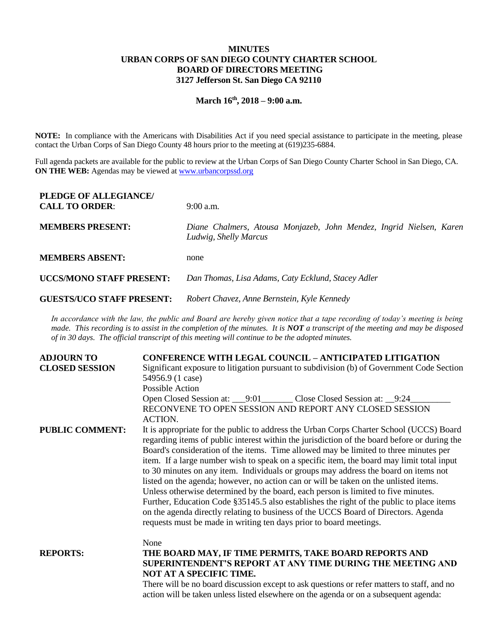## **MINUTES URBAN CORPS OF SAN DIEGO COUNTY CHARTER SCHOOL BOARD OF DIRECTORS MEETING 3127 Jefferson St. San Diego CA 92110**

# **March 16th, 2018 – 9:00 a.m.**

**NOTE:** In compliance with the Americans with Disabilities Act if you need special assistance to participate in the meeting, please contact the Urban Corps of San Diego County 48 hours prior to the meeting at (619)235-6884.

Full agenda packets are available for the public to review at the Urban Corps of San Diego County Charter School in San Diego, CA. **ON THE WEB:** Agendas may be viewed at **www.urbancorpssd.org** 

| PLEDGE OF ALLEGIANCE/<br><b>CALL TO ORDER:</b> | $9:00$ a.m.                                                                                                                                                                                                                                                   |
|------------------------------------------------|---------------------------------------------------------------------------------------------------------------------------------------------------------------------------------------------------------------------------------------------------------------|
| <b>MEMBERS PRESENT:</b>                        | Diane Chalmers, Atousa Monjazeb, John Mendez, Ingrid Nielsen, Karen<br>Ludwig, Shelly Marcus                                                                                                                                                                  |
| <b>MEMBERS ABSENT:</b>                         | none                                                                                                                                                                                                                                                          |
| <b>UCCS/MONO STAFF PRESENT:</b>                | Dan Thomas, Lisa Adams, Caty Ecklund, Stacey Adler                                                                                                                                                                                                            |
| <b>GUESTS/UCO STAFF PRESENT:</b>               | Robert Chavez, Anne Bernstein, Kyle Kennedy                                                                                                                                                                                                                   |
|                                                | In accordance with the law, the public and Board are hereby given notice that a tape recording of today's meeting is being<br>made. This recording is to assist in the completion of the minutes. It is $NOT$ a transcript of the meeting and may be disposed |

*made. This recording is to assist in the completion of the minutes. It is NOT a transcript of the meeting and may be disposed of in 30 days. The official transcript of this meeting will continue to be the adopted minutes.*

| <b>ADJOURN TO</b>      | <b>CONFERENCE WITH LEGAL COUNCIL - ANTICIPATED LITIGATION</b>                                                                                                                                                                                                                                                                                                                                                                                                                                                                                                                                                                                                                                                                                                                                                                                                                                            |
|------------------------|----------------------------------------------------------------------------------------------------------------------------------------------------------------------------------------------------------------------------------------------------------------------------------------------------------------------------------------------------------------------------------------------------------------------------------------------------------------------------------------------------------------------------------------------------------------------------------------------------------------------------------------------------------------------------------------------------------------------------------------------------------------------------------------------------------------------------------------------------------------------------------------------------------|
| <b>CLOSED SESSION</b>  | Significant exposure to litigation pursuant to subdivision (b) of Government Code Section<br>54956.9 (1 case)                                                                                                                                                                                                                                                                                                                                                                                                                                                                                                                                                                                                                                                                                                                                                                                            |
|                        | Possible Action                                                                                                                                                                                                                                                                                                                                                                                                                                                                                                                                                                                                                                                                                                                                                                                                                                                                                          |
|                        | Open Closed Session at: 9:01 Close Closed Session at: 9:24<br>RECONVENE TO OPEN SESSION AND REPORT ANY CLOSED SESSION<br><b>ACTION.</b>                                                                                                                                                                                                                                                                                                                                                                                                                                                                                                                                                                                                                                                                                                                                                                  |
| <b>PUBLIC COMMENT:</b> | It is appropriate for the public to address the Urban Corps Charter School (UCCS) Board<br>regarding items of public interest within the jurisdiction of the board before or during the<br>Board's consideration of the items. Time allowed may be limited to three minutes per<br>item. If a large number wish to speak on a specific item, the board may limit total input<br>to 30 minutes on any item. Individuals or groups may address the board on items not<br>listed on the agenda; however, no action can or will be taken on the unlisted items.<br>Unless otherwise determined by the board, each person is limited to five minutes.<br>Further, Education Code §35145.5 also establishes the right of the public to place items<br>on the agenda directly relating to business of the UCCS Board of Directors. Agenda<br>requests must be made in writing ten days prior to board meetings. |
|                        | None                                                                                                                                                                                                                                                                                                                                                                                                                                                                                                                                                                                                                                                                                                                                                                                                                                                                                                     |
| <b>REPORTS:</b>        | THE BOARD MAY, IF TIME PERMITS, TAKE BOARD REPORTS AND<br>SUPERINTENDENT'S REPORT AT ANY TIME DURING THE MEETING AND<br>NOT AT A SPECIFIC TIME.                                                                                                                                                                                                                                                                                                                                                                                                                                                                                                                                                                                                                                                                                                                                                          |
|                        | There will be no board discussion except to ask questions or refer matters to staff, and no<br>action will be taken unless listed elsewhere on the agenda or on a subsequent agenda:                                                                                                                                                                                                                                                                                                                                                                                                                                                                                                                                                                                                                                                                                                                     |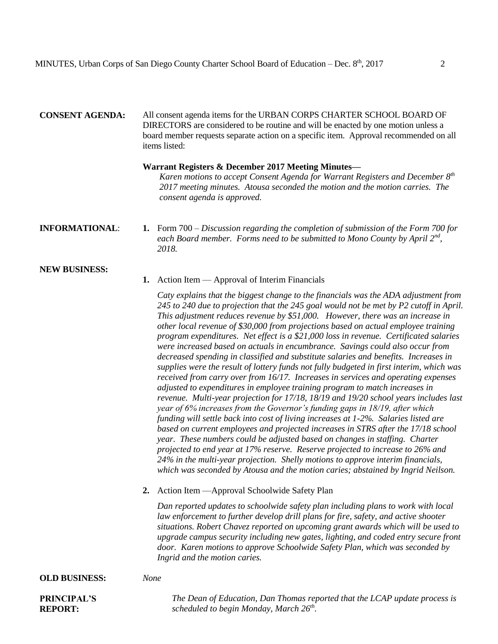# **CONSENT AGENDA:** All consent agenda items for the URBAN CORPS CHARTER SCHOOL BOARD OF DIRECTORS are considered to be routine and will be enacted by one motion unless a board member requests separate action on a specific item. Approval recommended on all items listed:

### **Warrant Registers & December 2017 Meeting Minutes—**

*Karen motions to accept Consent Agenda for Warrant Registers and December 8th 2017 meeting minutes. Atousa seconded the motion and the motion carries. The consent agenda is approved.* 

### **INFORMATIONAL**: **1.** Form 700 – *Discussion regarding the completion of submission of the Form 700 for each Board member. Forms need to be submitted to Mono County by April 2nd , 2018.*

### **NEW BUSINESS:**

### **1.** Action Item — Approval of Interim Financials

*Caty explains that the biggest change to the financials was the ADA adjustment from 245 to 240 due to projection that the 245 goal would not be met by P2 cutoff in April. This adjustment reduces revenue by \$51,000. However, there was an increase in other local revenue of \$30,000 from projections based on actual employee training program expenditures. Net effect is a \$21,000 loss in revenue. Certificated salaries were increased based on actuals in encumbrance. Savings could also occur from decreased spending in classified and substitute salaries and benefits. Increases in supplies were the result of lottery funds not fully budgeted in first interim, which was received from carry over from 16/17. Increases in services and operating expenses adjusted to expenditures in employee training program to match increases in revenue. Multi-year projection for 17/18, 18/19 and 19/20 school years includes last year of 6% increases from the Governor's funding gaps in 18/19, after which funding will settle back into cost of living increases at 1-2%. Salaries listed are based on current employees and projected increases in STRS after the 17/18 school year. These numbers could be adjusted based on changes in staffing. Charter projected to end year at 17% reserve. Reserve projected to increase to 26% and 24% in the multi-year projection. Shelly motions to approve interim financials, which was seconded by Atousa and the motion caries; abstained by Ingrid Neilson.* 

**2.** Action Item —Approval Schoolwide Safety Plan

*Dan reported updates to schoolwide safety plan including plans to work with local law enforcement to further develop drill plans for fire, safety, and active shooter situations. Robert Chavez reported on upcoming grant awards which will be used to upgrade campus security including new gates, lighting, and coded entry secure front door. Karen motions to approve Schoolwide Safety Plan, which was seconded by Ingrid and the motion caries.* 

#### **OLD BUSINESS:** *None*

# **PRINCIPAL'S REPORT:**

*The Dean of Education, Dan Thomas reported that the LCAP update process is scheduled to begin Monday, March 26th .*